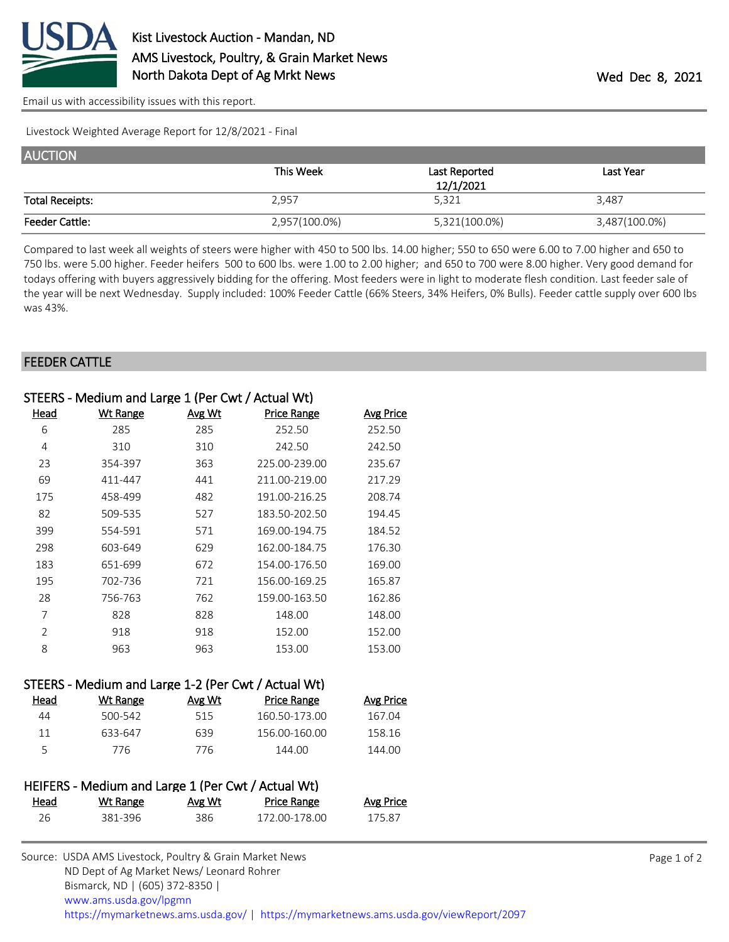

[Email us with accessibility issues with this report.](mailto:mars@ams.usda.gov?subject=508%20issue)

Livestock Weighted Average Report for 12/8/2021 - Final

| <b>AUCTION</b>         |               |               |               |
|------------------------|---------------|---------------|---------------|
|                        | This Week     | Last Reported | Last Year     |
|                        |               | 12/1/2021     |               |
| <b>Total Receipts:</b> | 2.957         | 5,321         | 3.487         |
| <b>Feeder Cattle:</b>  | 2,957(100.0%) | 5,321(100.0%) | 3,487(100.0%) |

Compared to last week all weights of steers were higher with 450 to 500 lbs. 14.00 higher; 550 to 650 were 6.00 to 7.00 higher and 650 to 750 lbs. were 5.00 higher. Feeder heifers 500 to 600 lbs. were 1.00 to 2.00 higher; and 650 to 700 were 8.00 higher. Very good demand for todays offering with buyers aggressively bidding for the offering. Most feeders were in light to moderate flesh condition. Last feeder sale of the year will be next Wednesday. Supply included: 100% Feeder Cattle (66% Steers, 34% Heifers, 0% Bulls). Feeder cattle supply over 600 lbs was 43%.

## FEEDER CATTLE

|                | STEERS - Medium and Large 1 (Per Cwt / Actual Wt)   |               |                    |                  |
|----------------|-----------------------------------------------------|---------------|--------------------|------------------|
| Head           | <b>Wt Range</b>                                     | <u>Avg Wt</u> | <b>Price Range</b> | <b>Avg Price</b> |
| 6              | 285                                                 | 285           | 252.50             | 252.50           |
| 4              | 310                                                 | 310           | 242.50             | 242.50           |
| 23             | 354-397                                             | 363           | 225.00-239.00      | 235.67           |
| 69             | 411-447                                             | 441           | 211.00-219.00      | 217.29           |
| 175            | 458-499                                             | 482           | 191.00-216.25      | 208.74           |
| 82             | 509-535                                             | 527           | 183.50-202.50      | 194.45           |
| 399            | 554-591                                             | 571           | 169.00-194.75      | 184.52           |
| 298            | 603-649                                             | 629           | 162.00-184.75      | 176.30           |
| 183            | 651-699                                             | 672           | 154.00-176.50      | 169.00           |
| 195            | 702-736                                             | 721           | 156.00-169.25      | 165.87           |
| 28             | 756-763                                             | 762           | 159.00-163.50      | 162.86           |
| 7              | 828                                                 | 828           | 148.00             | 148.00           |
| $\overline{2}$ | 918                                                 | 918           | 152.00             | 152.00           |
| 8              | 963                                                 | 963           | 153.00             | 153.00           |
|                |                                                     |               |                    |                  |
|                | STEERS - Medium and Large 1-2 (Per Cut / Actual Wt) |               |                    |                  |

| Head | Wt Range | Avg Wt | Price Range   | <b>Avg Price</b> |
|------|----------|--------|---------------|------------------|
| 44   | 500-542  | 515    | 160.50-173.00 | 167.04           |
| 11   | 633-647  | 639    | 156.00-160.00 | 158.16           |
|      | 776      | 776    | 144.00        | 144.00           |
|      |          |        |               |                  |

|      | HEIFERS - Medium and Large 1 (Per Cwt / Actual Wt) |        |                    |                  |
|------|----------------------------------------------------|--------|--------------------|------------------|
| Head | Wt Range                                           | Avg Wt | <b>Price Range</b> | <b>Avg Price</b> |
| 26   | 381-396                                            | 386.   | 172.00-178.00      | 175.87           |